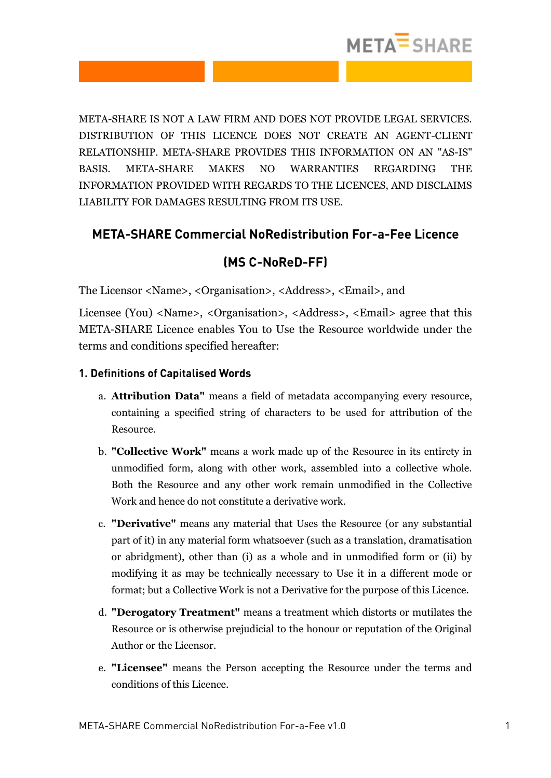

META-SHARE IS NOT A LAW FIRM AND DOES NOT PROVIDE LEGAL SERVICES. DISTRIBUTION OF THIS LICENCE DOES NOT CREATE AN AGENT-CLIENT RELATIONSHIP. META-SHARE PROVIDES THIS INFORMATION ON AN "AS-IS" BASIS. META-SHARE MAKES NO WARRANTIES REGARDING THE INFORMATION PROVIDED WITH REGARDS TO THE LICENCES, AND DISCLAIMS LIABILITY FOR DAMAGES RESULTING FROM ITS USE.

### **META-SHARE Commercial NoRedistribution For-a-Fee Licence**

## **(MS C-NoReD-FF)**

The Licensor <Name>, <Organisation>, <Address>, <Email>, and

Licensee (You) <Name>, <Organisation>, <Address>, <Email> agree that this META-SHARE Licence enables You to Use the Resource worldwide under the terms and conditions specified hereafter:

### **1. Definitions of Capitalised Words**

- a. **Attribution Data"** means a field of metadata accompanying every resource, containing a specified string of characters to be used for attribution of the Resource.
- b. **"Collective Work"** means a work made up of the Resource in its entirety in unmodified form, along with other work, assembled into a collective whole. Both the Resource and any other work remain unmodified in the Collective Work and hence do not constitute a derivative work.
- c. **"Derivative"** means any material that Uses the Resource (or any substantial part of it) in any material form whatsoever (such as a translation, dramatisation or abridgment), other than (i) as a whole and in unmodified form or (ii) by modifying it as may be technically necessary to Use it in a different mode or format; but a Collective Work is not a Derivative for the purpose of this Licence.
- d. **"Derogatory Treatment"** means a treatment which distorts or mutilates the Resource or is otherwise prejudicial to the honour or reputation of the Original Author or the Licensor.
- e. **"Licensee"** means the Person accepting the Resource under the terms and conditions of this Licence.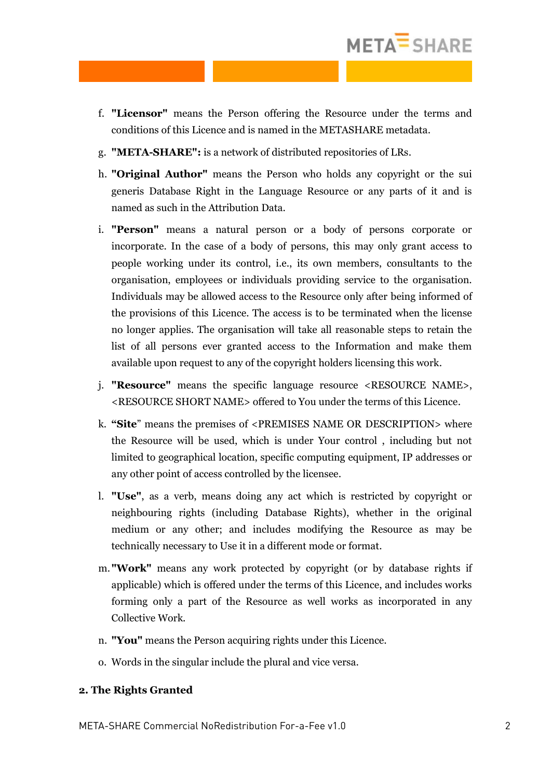

- f. **"Licensor"** means the Person offering the Resource under the terms and conditions of this Licence and is named in the METASHARE metadata.
- g. **"META-SHARE":** is a network of distributed repositories of LRs.
- h. **"Original Author"** means the Person who holds any copyright or the sui generis Database Right in the Language Resource or any parts of it and is named as such in the Attribution Data.
- i. **"Person"** means a natural person or a body of persons corporate or incorporate. In the case of a body of persons, this may only grant access to people working under its control, i.e., its own members, consultants to the organisation, employees or individuals providing service to the organisation. Individuals may be allowed access to the Resource only after being informed of the provisions of this Licence. The access is to be terminated when the license no longer applies. The organisation will take all reasonable steps to retain the list of all persons ever granted access to the Information and make them available upon request to any of the copyright holders licensing this work.
- j. **"Resource"** means the specific language resource <RESOURCE NAME>, <RESOURCE SHORT NAME> offered to You under the terms of this Licence.
- k. **"Site**" means the premises of <PREMISES NAME OR DESCRIPTION> where the Resource will be used, which is under Your control , including but not limited to geographical location, specific computing equipment, IP addresses or any other point of access controlled by the licensee.
- l. **"Use"**, as a verb, means doing any act which is restricted by copyright or neighbouring rights (including Database Rights), whether in the original medium or any other; and includes modifying the Resource as may be technically necessary to Use it in a different mode or format.
- m. **"Work"** means any work protected by copyright (or by database rights if applicable) which is offered under the terms of this Licence, and includes works forming only a part of the Resource as well works as incorporated in any Collective Work.
- n. **"You"** means the Person acquiring rights under this Licence.
- o. Words in the singular include the plural and vice versa.

#### **2. The Rights Granted**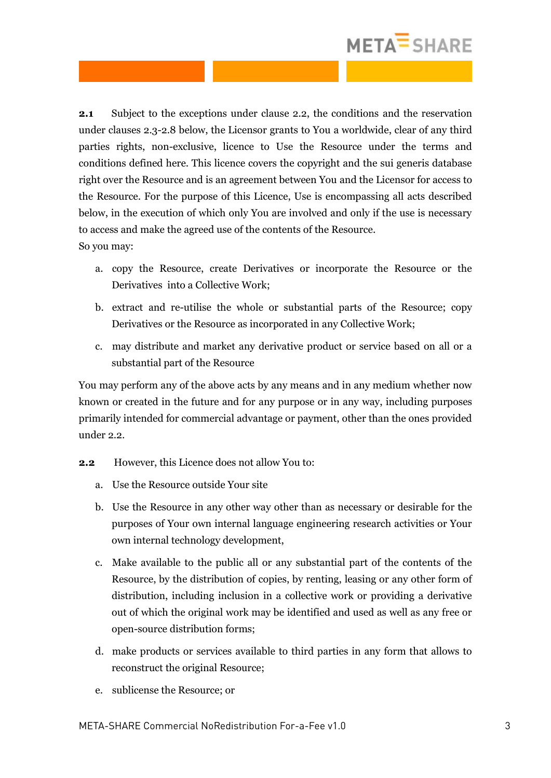# META<sup>=</sup>SHARE

**2.1** Subject to the exceptions under clause 2.2, the conditions and the reservation under clauses 2.3-2.8 below, the Licensor grants to You a worldwide, clear of any third parties rights, non-exclusive, licence to Use the Resource under the terms and conditions defined here. This licence covers the copyright and the sui generis database right over the Resource and is an agreement between You and the Licensor for access to the Resource. For the purpose of this Licence, Use is encompassing all acts described below, in the execution of which only You are involved and only if the use is necessary to access and make the agreed use of the contents of the Resource. So you may:

- a. copy the Resource, create Derivatives or incorporate the Resource or the Derivatives into a Collective Work;
- b. extract and re-utilise the whole or substantial parts of the Resource; copy Derivatives or the Resource as incorporated in any Collective Work;
- c. may distribute and market any derivative product or service based on all or a substantial part of the Resource

You may perform any of the above acts by any means and in any medium whether now known or created in the future and for any purpose or in any way, including purposes primarily intended for commercial advantage or payment, other than the ones provided under 2.2.

- **2.2** However, this Licence does not allow You to:
	- a. Use the Resource outside Your site
	- b. Use the Resource in any other way other than as necessary or desirable for the purposes of Your own internal language engineering research activities or Your own internal technology development,
	- c. Make available to the public all or any substantial part of the contents of the Resource, by the distribution of copies, by renting, leasing or any other form of distribution, including inclusion in a collective work or providing a derivative out of which the original work may be identified and used as well as any free or open-source distribution forms;
	- d. make products or services available to third parties in any form that allows to reconstruct the original Resource;
	- e. sublicense the Resource; or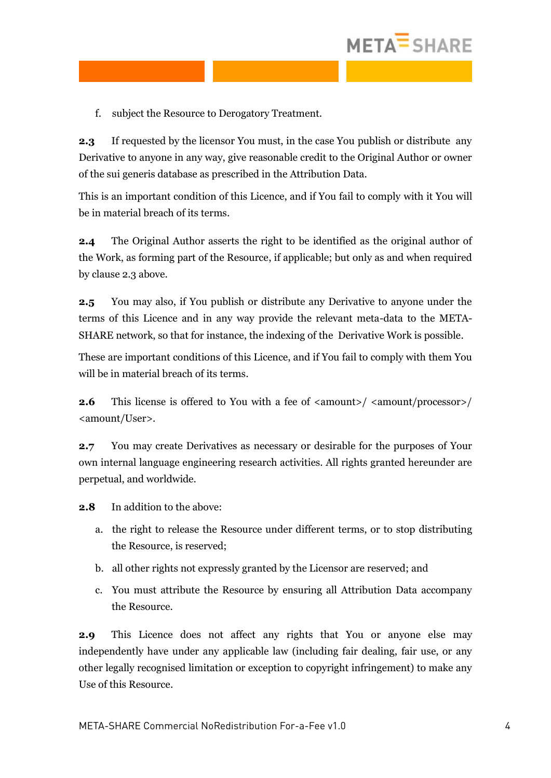

f. subject the Resource to Derogatory Treatment.

**2.3** If requested by the licensor You must, in the case You publish or distribute any Derivative to anyone in any way, give reasonable credit to the Original Author or owner of the sui generis database as prescribed in the Attribution Data.

This is an important condition of this Licence, and if You fail to comply with it You will be in material breach of its terms.

**2.4** The Original Author asserts the right to be identified as the original author of the Work, as forming part of the Resource, if applicable; but only as and when required by clause 2.3 above.

**2.5** You may also, if You publish or distribute any Derivative to anyone under the terms of this Licence and in any way provide the relevant meta-data to the META-SHARE network, so that for instance, the indexing of the Derivative Work is possible.

These are important conditions of this Licence, and if You fail to comply with them You will be in material breach of its terms.

**2.6** This license is offered to You with a fee of  $\langle$  amount>/ $\langle$  amount/processor>/ <amount/User>.

**2.7** You may create Derivatives as necessary or desirable for the purposes of Your own internal language engineering research activities. All rights granted hereunder are perpetual, and worldwide.

**2.8** In addition to the above:

- a. the right to release the Resource under different terms, or to stop distributing the Resource, is reserved;
- b. all other rights not expressly granted by the Licensor are reserved; and
- c. You must attribute the Resource by ensuring all Attribution Data accompany the Resource.

**2.9** This Licence does not affect any rights that You or anyone else may independently have under any applicable law (including fair dealing, fair use, or any other legally recognised limitation or exception to copyright infringement) to make any Use of this Resource.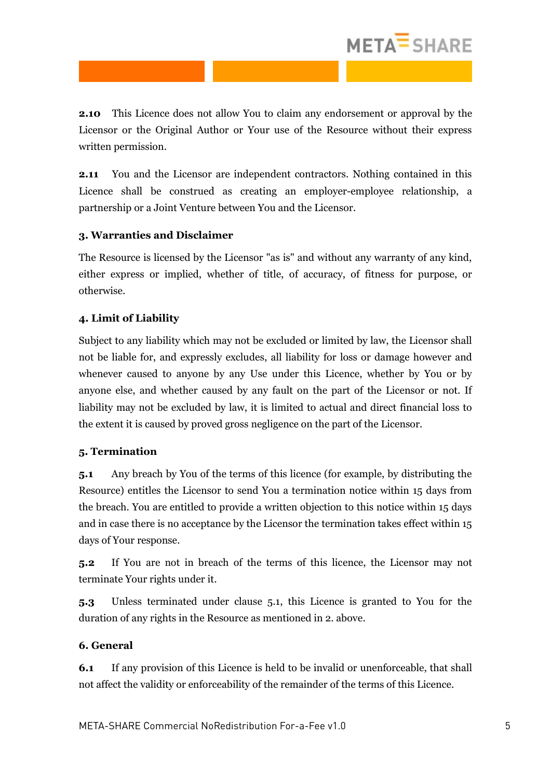# META<sup>=</sup>SHARE

**2.10** This Licence does not allow You to claim any endorsement or approval by the Licensor or the Original Author or Your use of the Resource without their express written permission.

**2.11** You and the Licensor are independent contractors. Nothing contained in this Licence shall be construed as creating an employer-employee relationship, a partnership or a Joint Venture between You and the Licensor.

### **3. Warranties and Disclaimer**

The Resource is licensed by the Licensor "as is" and without any warranty of any kind, either express or implied, whether of title, of accuracy, of fitness for purpose, or otherwise.

### **4. Limit of Liability**

Subject to any liability which may not be excluded or limited by law, the Licensor shall not be liable for, and expressly excludes, all liability for loss or damage however and whenever caused to anyone by any Use under this Licence, whether by You or by anyone else, and whether caused by any fault on the part of the Licensor or not. If liability may not be excluded by law, it is limited to actual and direct financial loss to the extent it is caused by proved gross negligence on the part of the Licensor.

### **5. Termination**

**5.1** Any breach by You of the terms of this licence (for example, by distributing the Resource) entitles the Licensor to send You a termination notice within 15 days from the breach. You are entitled to provide a written objection to this notice within 15 days and in case there is no acceptance by the Licensor the termination takes effect within 15 days of Your response.

**5.2** If You are not in breach of the terms of this licence, the Licensor may not terminate Your rights under it.

**5.3** Unless terminated under clause 5.1, this Licence is granted to You for the duration of any rights in the Resource as mentioned in 2. above.

### **6. General**

**6.1** If any provision of this Licence is held to be invalid or unenforceable, that shall not affect the validity or enforceability of the remainder of the terms of this Licence.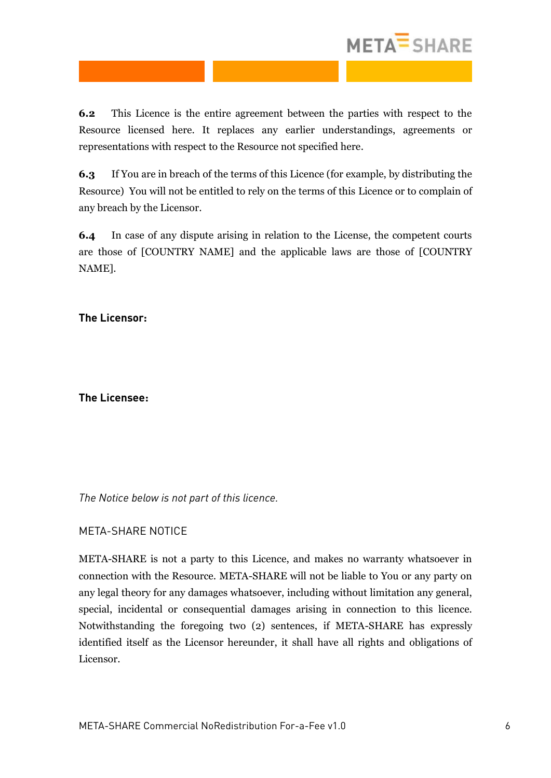

**6.2** This Licence is the entire agreement between the parties with respect to the Resource licensed here. It replaces any earlier understandings, agreements or representations with respect to the Resource not specified here.

**6.3** If You are in breach of the terms of this Licence (for example, by distributing the Resource) You will not be entitled to rely on the terms of this Licence or to complain of any breach by the Licensor.

**6.4** In case of any dispute arising in relation to the License, the competent courts are those of [COUNTRY NAME] and the applicable laws are those of [COUNTRY NAME].

**The Licensor:**

**The Licensee:**

*The Notice below is not part of this licence.*

### META-SHARE NOTICE

META-SHARE is not a party to this Licence, and makes no warranty whatsoever in connection with the Resource. META-SHARE will not be liable to You or any party on any legal theory for any damages whatsoever, including without limitation any general, special, incidental or consequential damages arising in connection to this licence. Notwithstanding the foregoing two (2) sentences, if META-SHARE has expressly identified itself as the Licensor hereunder, it shall have all rights and obligations of Licensor.